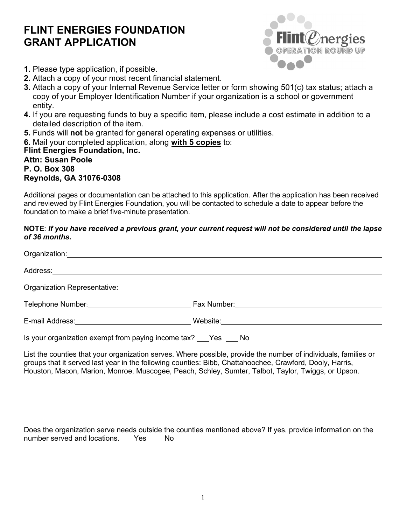## **FLINT ENERGIES FOUNDATION GRANT APPLICATION**



- **1.** Please type application, if possible.
- **2.** Attach a copy of your most recent financial statement.
- **3.** Attach a copy of your Internal Revenue Service letter or form showing 501(c) tax status; attach a copy of your Employer Identification Number if your organization is a school or government entity.
- **4.** If you are requesting funds to buy a specific item, please include a cost estimate in addition to a detailed description of the item.
- **5.** Funds will **not** be granted for general operating expenses or utilities.
- **6.** Mail your completed application, along **with 5 copies** to:

## **Flint Energies Foundation, Inc. Attn: Susan Poole P. O. Box 308 Reynolds, GA 31076-0308**

Additional pages or documentation can be attached to this application. After the application has been received and reviewed by Flint Energies Foundation, you will be contacted to schedule a date to appear before the foundation to make a brief five-minute presentation.

## **NOTE**: *If you have received a previous grant, your current request will not be considered until the lapse of 36 months.*

| Organization: New York Channel                                                                                  |  |
|-----------------------------------------------------------------------------------------------------------------|--|
| Address: ______________________                                                                                 |  |
| Organization Representative:                                                                                    |  |
| Telephone Number: Version of the Contract of the Contract of Telephone Numbers                                  |  |
| E-mail Address: <u>____________________________</u>                                                             |  |
| Is your organization exempt from paying income tax? Pes No                                                      |  |
| List the counties that your organization serves. Where possible, provide the number of individuals, families or |  |

groups that it served last year in the following counties: Bibb, Chattahoochee, Crawford, Dooly, Harris, Houston, Macon, Marion, Monroe, Muscogee, Peach, Schley, Sumter, Talbot, Taylor, Twiggs, or Upson.

Does the organization serve needs outside the counties mentioned above? If yes, provide information on the number served and locations. Yes No